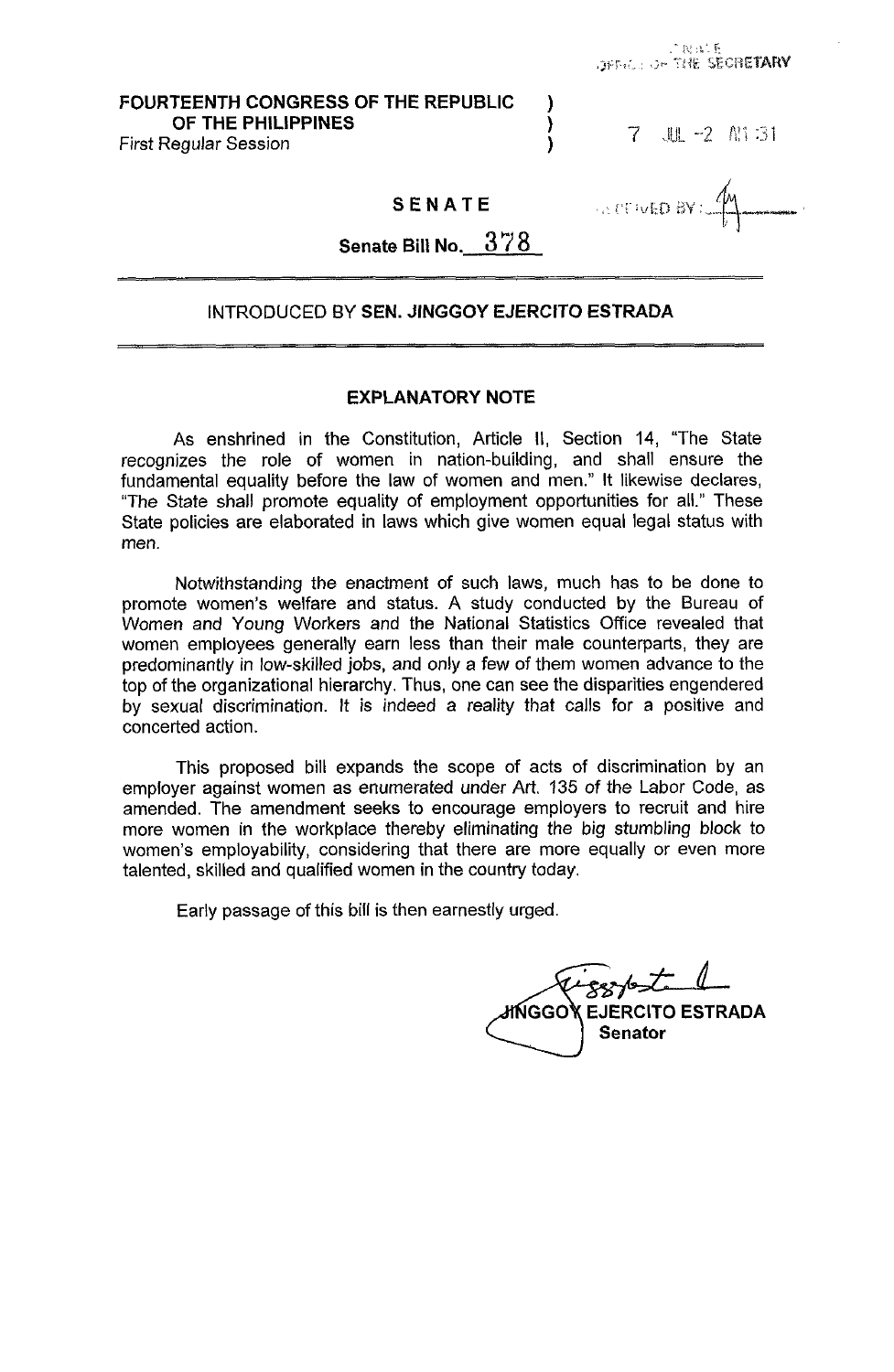# **FOURTEENTH CONGRESS OF THE REPUBLIC** ) **OF THE PHILIPPINES** (*C*) (*C*) (*C*) (*C*) (*C*) (*C*) (*C*) (*C*) (*C*) (*C*) (*C*) (*C*) (*C*) (*C*) (*C*) (*C*) (*C*) (*C*) (*C*) (*C*) (*C*) (*C*) (*C*) (*C*) (*C*) (*C*) (*C*) (*C*) (*C*) (*C*) (*C*) (*C*) (*C*) (*C*

First Regular Session **1** *7* -2 Pt! 1 *3 i* 

# **SENATE**

**ALCOVED BY:** 

**Senate Bill No. 3** *7 8* 

## INTRODUCED BY **SEN. JINGGOY EJERCITO ESTRADA**

## **EXPLANATORY NOTE**

As enshrined in the Constitution, Article II, Section 14, "The State recognizes the role of women in nation-building, and shall ensure the fundamental equality before the law of women and men." It likewise declares, "The State shall promote equality of employment opportunities for all." These State policies are elaborated in laws which give women equal legal status with men.

Notwithstanding the enactment of such laws, much has to be done to promote women's welfare and status. A study conducted by the Bureau of Women and Young Workers and the National Statistics Office revealed that women employees generally earn less than their male counterparts, they are predominantly in low-skilled jobs, and only a few of them women advance to the top of the organizational hierarchy. Thus, one can see the disparities engendered by sexual discrimination. It is indeed a reality that calls for a positive and concerted action.

This proposed bill expands the scope of acts of discrimination by an employer against women as enumerated under Art. 135 of the Labor Code, as amended. The amendment seeks to encourage employers to recruit and hire more women in the workplace thereby eliminating the big stumbling block to women's employability, considering that there are more equally or even more talented, skilled and qualified women in the country today.

Early passage of this bill is then earnestly urged.

**MGGOk EJERCITO ESTRADA Senator**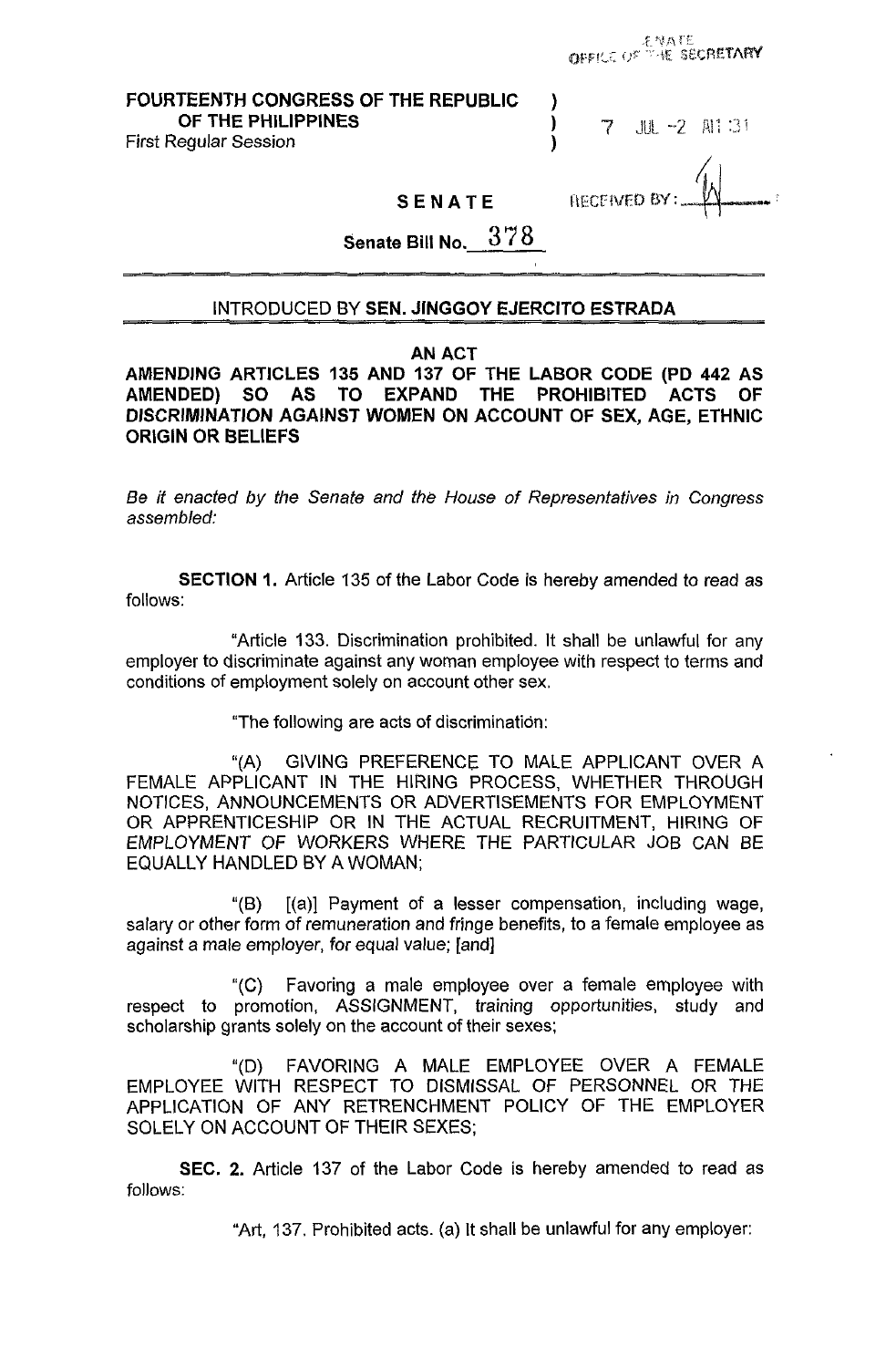**FOURTEENTH CONGRESS OF THE REPUBLIC** ) **OF THE PHILIPPINES 1** *7* J~L *-2* pi: ::i

**First Regular Session** 

**AFCENED BY:** 

ENATE<br>OFFICE OF THE SECRETARY

**SENATE** 

**Senate Bill No. 378** 

### INTRODUCED BY **SEN. JINGGOY EJERCITO ESTRADA**

### **AN ACT**

**AMENDING ARTICLES 135 AND 137 OF THE LABOR CODE (PD 442 AS AMENDED) SO AS TO EXPAND THE PROHIBITED ACTS OF DISCRIMINATION AGAINST WOMEN ON ACCOUNT OF SEX, AGE, ETHNIC ORIGIN OR BELIEFS** 

*Be it* enacted by the Senate and the House *of* Representatives in Congress assembled:

**SECTION 1.** Article 135 of the Labor Code is hereby amended to read as follows:

"Article 133. Discrimination prohibited. It shall be unlawful for any employer to discriminate against any woman employee with respect to terms and conditions of employment solely on account other sex.

"The following are acts of discriminatidn:

"(A) GIVING PREFERENCE TO MALE APPLICANT OVER A FEMALE APPLICANT IN THE HIRING PROCESS, WHETHER THROUGH NOTICES, ANNOUNCEMENTS OR ADVERTISEMENTS FOR EMPLOYMENT OR APPRENTICESHIP OR IN THE ACTUAL RECRUITMENT, HIRING OF EMPLOYMENT OF WORKERS WHERE THE PARTICULAR JOB CAN BE EQUALLY HANDLED BY A WOMAN;

 $[(a)]$  Payment of a lesser compensation, including wage, salary or other form of remuneration and fringe benefits, to a female employee as against a male employer, for equal value; [and] "(B)

Favoring a male employee over a female employee with respect to promotion, ASSIGNMENT, training opportunities, study and scholarship grants solely on the account of their sexes; "(C)

"(D) FAVORING A MALE EMPLOYEE OVER A FEMALE EMPLOYEE WITH RESPECT TO DISMISSAL OF PERSONNEL OR THE APPLICATION OF ANY RETRENCHMENT POLICY OF THE EMPLOYER SOLELY ON ACCOUNT OF THEIR SEXES;

**SEC. 2.** Article 137 of the Labor Code is hereby amended to read as follows:

"Art, 137. Prohibited acts. (a) It shall be unlawful for any employer: